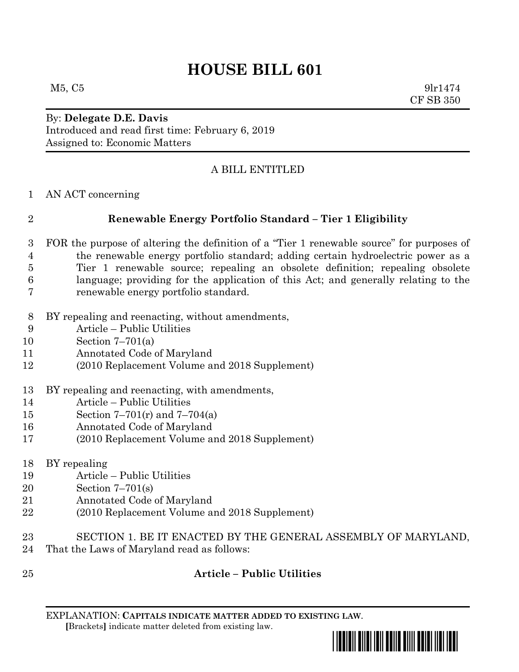# **HOUSE BILL 601**

 $M5, C5$  9lr1474 CF SB 350

By: **Delegate D.E. Davis** Introduced and read first time: February 6, 2019 Assigned to: Economic Matters

## A BILL ENTITLED

AN ACT concerning

## **Renewable Energy Portfolio Standard – Tier 1 Eligibility**

- FOR the purpose of altering the definition of a "Tier 1 renewable source" for purposes of the renewable energy portfolio standard; adding certain hydroelectric power as a Tier 1 renewable source; repealing an obsolete definition; repealing obsolete language; providing for the application of this Act; and generally relating to the renewable energy portfolio standard.
- BY repealing and reenacting, without amendments,
- Article Public Utilities
- Section 7–701(a)
- Annotated Code of Maryland
- (2010 Replacement Volume and 2018 Supplement)
- BY repealing and reenacting, with amendments,
- Article Public Utilities
- Section 7–701(r) and 7–704(a)
- Annotated Code of Maryland
- (2010 Replacement Volume and 2018 Supplement)
- BY repealing
- Article Public Utilities
- Section 7–701(s)
- Annotated Code of Maryland
- (2010 Replacement Volume and 2018 Supplement)
- SECTION 1. BE IT ENACTED BY THE GENERAL ASSEMBLY OF MARYLAND,
- That the Laws of Maryland read as follows:
- 

#### **Article – Public Utilities**

EXPLANATION: **CAPITALS INDICATE MATTER ADDED TO EXISTING LAW**.  **[**Brackets**]** indicate matter deleted from existing law.

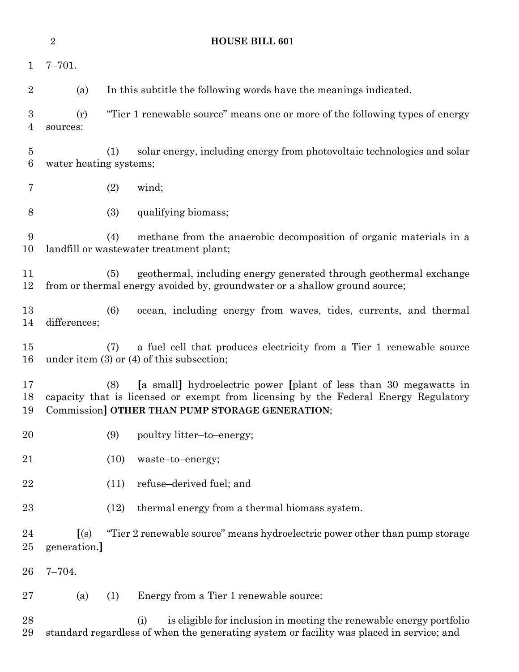|                                   | $\overline{2}$                              | <b>HOUSE BILL 601</b>                                                                                                                                                                                              |
|-----------------------------------|---------------------------------------------|--------------------------------------------------------------------------------------------------------------------------------------------------------------------------------------------------------------------|
| $\mathbf{1}$                      | $7 - 701.$                                  |                                                                                                                                                                                                                    |
| $\overline{2}$                    | (a)                                         | In this subtitle the following words have the meanings indicated.                                                                                                                                                  |
| 3<br>$\overline{4}$               | (r)<br>sources:                             | "Tier 1 renewable source" means one or more of the following types of energy                                                                                                                                       |
| $\overline{5}$<br>$6\phantom{.}6$ | water heating systems;                      | solar energy, including energy from photovoltaic technologies and solar<br>(1)                                                                                                                                     |
| 7                                 |                                             | (2)<br>wind;                                                                                                                                                                                                       |
| 8                                 |                                             | (3)<br>qualifying biomass;                                                                                                                                                                                         |
| 9<br>10                           |                                             | methane from the anaerobic decomposition of organic materials in a<br>(4)<br>landfill or wastewater treatment plant;                                                                                               |
| 11<br>12                          |                                             | geothermal, including energy generated through geothermal exchange<br>(5)<br>from or thermal energy avoided by, groundwater or a shallow ground source;                                                            |
| 13<br>14                          | differences;                                | (6)<br>ocean, including energy from waves, tides, currents, and thermal                                                                                                                                            |
| 15<br>16                          |                                             | a fuel cell that produces electricity from a Tier 1 renewable source<br>(7)<br>under item $(3)$ or $(4)$ of this subsection;                                                                                       |
| 17<br>18<br>19                    |                                             | [a small] hydroelectric power [plant of less than 30 megawatts in<br>(8)<br>capacity that is licensed or exempt from licensing by the Federal Energy Regulatory<br>Commission] OTHER THAN PUMP STORAGE GENERATION; |
| 20                                |                                             | (9)<br>poultry litter-to-energy;                                                                                                                                                                                   |
| 21                                |                                             | (10)<br>waste-to-energy;                                                                                                                                                                                           |
| 22                                |                                             | refuse-derived fuel; and<br>(11)                                                                                                                                                                                   |
| 23                                |                                             | (12)<br>thermal energy from a thermal biomass system.                                                                                                                                                              |
| 24<br>25                          | $\left[ \text{(s)} \right]$<br>generation.] | "Tier 2 renewable source" means hydroelectric power other than pump storage                                                                                                                                        |
| 26                                | $7 - 704.$                                  |                                                                                                                                                                                                                    |
| 27                                | (a)                                         | (1)<br>Energy from a Tier 1 renewable source:                                                                                                                                                                      |
| 28<br>29                          |                                             | is eligible for inclusion in meeting the renewable energy portfolio<br>(i)<br>standard regardless of when the generating system or facility was placed in service; and                                             |